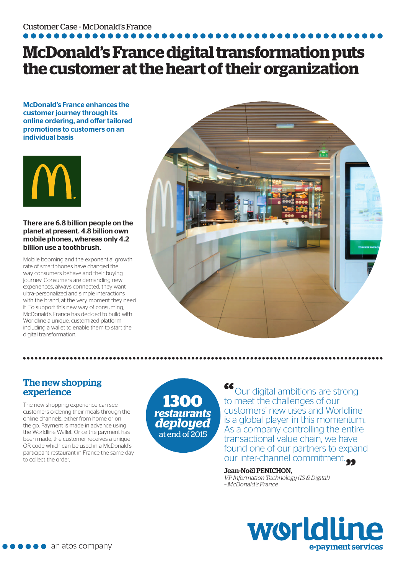## **McDonald's France digital transformation puts the customer at the heart of their organization**

McDonald's France enhances the customer journey through its online ordering, and offer tailored promotions to customers on an individual basis



#### There are 6.8 billion people on the planet at present. 4.8 billion own mobile phones, whereas only 4.2 billion use a toothbrush.

Mobile booming and the exponential growth rate of smartphones have changed the way consumers behave and their buying journey. Consumers are demanding new experiences, always connected, they want ultra-personalized and simple interactions with the brand, at the very moment they need it. To support this new way of consuming, McDonald's France has decided to build with Worldline a unique, customized platform including a wallet to enable them to start the digital transformation.



### The new shopping experience

The new shopping experience can see customers ordering their meals through the online channels, either from home or on the go. Payment is made in advance using the Worldline Wallet. Once the payment has been made, the customer receives a unique QR code which can be used in a McDonald's participant restaurant in France the same day to collect the order.

**1300** *restaurants deployed*  at end of 2015

**"**Our digital ambitions are strong to meet the challenges of our customers' new uses and Worldline is a global player in this momentum. As a company controlling the entire transactional value chain, we have found one of our partners to expand our inter-channel commitment.<sup>...</sup>

#### Jean-Noël PENICHON,

*VP Information Technology (IS & Digital) – McDonald's France*